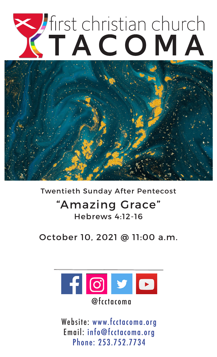

### Twentieth Sunday After Pentecost

# "Amazing Grace" Hebrews 4:12-16

October 10, 2021 @ 11:00 a.m.



Website: www.fcctacoma.org Email: info@fcctacoma.org Phone: 253.752.7734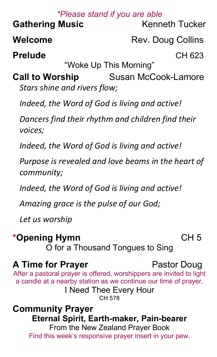# *\*Please stand if you are able* **Gathering Music** Kenneth Tucker **Welcome** Rev. Doug Collins **Prelude** CH 623 "Woke Up This Morning" **Call to Worship Susan McCook-Lamore** *Stars shine and rivers flow; Indeed, the Word of God is living and active! Dancers find their rhythm and children find their voices; Indeed, the Word of God is living and active! Purpose is revealed and love beams in the heart of community; Indeed, the Word of God is living and active! Amazing grace is the pulse of our God; Let us worship* \*Opening Hymn **CH5**

O for a Thousand Tongues to Sing

# **A Time for Prayer** Pastor Doug

#### After a pastoral prayer is offered, worshippers are invited to light a candle at a nearby station as we continue our time of prayer. I Need Thee Every Hour CH 578

**Community Prayer Eternal Spirit, Earth-maker, Pain-bearer** From the New Zealand Prayer Book Find this week's responsive prayer insert in your pew.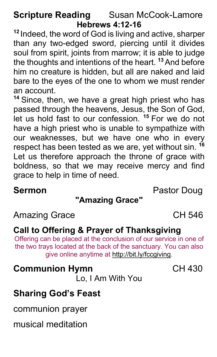# **Scripture Reading Susan McCook-Lamore Hebrews 4:12-16**

**<sup>12</sup>** Indeed, the word of God is living and active, sharper than any two-edged sword, piercing until it divides soul from spirit, joints from marrow; it is able to judge the thoughts and intentions of the heart. **<sup>13</sup>**And before him no creature is hidden, but all are naked and laid bare to the eyes of the one to whom we must render an account.

**<sup>14</sup>** Since, then, we have a great high priest who has passed through the heavens, Jesus, the Son of God, let us hold fast to our confession. **<sup>15</sup>** For we do not have a high priest who is unable to sympathize with our weaknesses, but we have one who in every respect has been tested as we are, yet without sin. **<sup>16</sup>** Let us therefore approach the throne of grace with boldness, so that we may receive mercy and find grace to help in time of need.

## **Sermon** Pastor Doug

# **"Amazing Grace"**

Amazing Grace **CH 546** 

#### **Call to Offering & Prayer of Thanksgiving**

Offering can be placed at the conclusion of our service in one of the two trays located at the back of the sanctuary. You can also give online anytime at http://bit.ly/fccgiving.

# **Communion Hymn** CH 430

Lo, I Am With You

# **Sharing God's Feast**

communion prayer

musical meditation